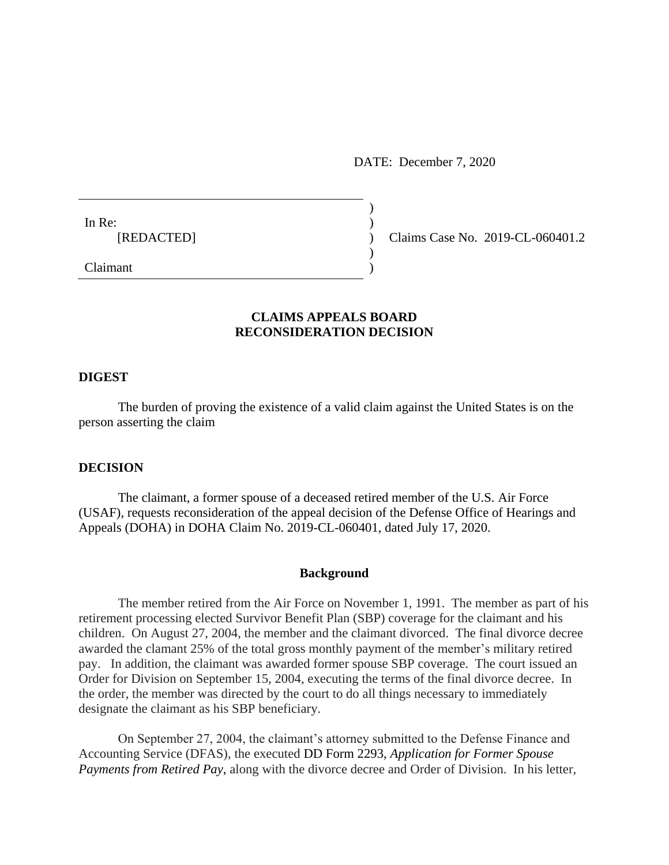DATE: December 7, 2020

In Re:  $\qquad \qquad$ )

[REDACTED] ) Claims Case No. 2019-CL-060401.2

Claimant )

# **CLAIMS APPEALS BOARD RECONSIDERATION DECISION**

)

 $\mathcal{L}$ 

### **DIGEST**

The burden of proving the existence of a valid claim against the United States is on the person asserting the claim

## **DECISION**

The claimant, a former spouse of a deceased retired member of the U.S. Air Force (USAF), requests reconsideration of the appeal decision of the Defense Office of Hearings and Appeals (DOHA) in DOHA Claim No. 2019-CL-060401, dated July 17, 2020.

### **Background**

The member retired from the Air Force on November 1, 1991. The member as part of his retirement processing elected Survivor Benefit Plan (SBP) coverage for the claimant and his children. On August 27, 2004, the member and the claimant divorced. The final divorce decree awarded the clamant 25% of the total gross monthly payment of the member's military retired pay. In addition, the claimant was awarded former spouse SBP coverage. The court issued an Order for Division on September 15, 2004, executing the terms of the final divorce decree. In the order, the member was directed by the court to do all things necessary to immediately designate the claimant as his SBP beneficiary.

On September 27, 2004, the claimant's attorney submitted to the Defense Finance and Accounting Service (DFAS), the executed DD Form 2293, *Application for Former Spouse Payments from Retired Pay*, along with the divorce decree and Order of Division. In his letter,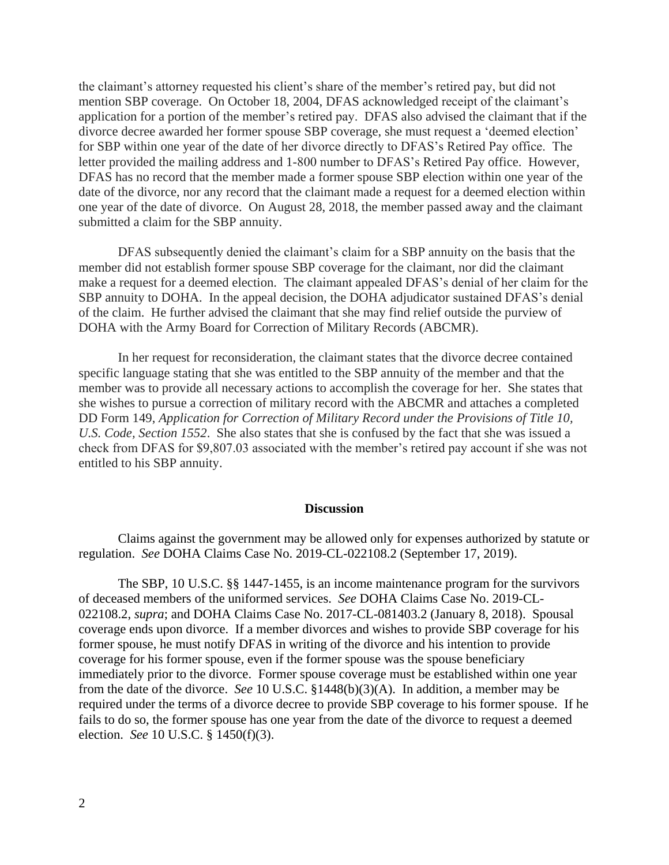the claimant's attorney requested his client's share of the member's retired pay, but did not mention SBP coverage. On October 18, 2004, DFAS acknowledged receipt of the claimant's application for a portion of the member's retired pay. DFAS also advised the claimant that if the divorce decree awarded her former spouse SBP coverage, she must request a 'deemed election' for SBP within one year of the date of her divorce directly to DFAS's Retired Pay office. The letter provided the mailing address and 1-800 number to DFAS's Retired Pay office. However, DFAS has no record that the member made a former spouse SBP election within one year of the date of the divorce, nor any record that the claimant made a request for a deemed election within one year of the date of divorce. On August 28, 2018, the member passed away and the claimant submitted a claim for the SBP annuity.

DFAS subsequently denied the claimant's claim for a SBP annuity on the basis that the member did not establish former spouse SBP coverage for the claimant, nor did the claimant make a request for a deemed election. The claimant appealed DFAS's denial of her claim for the SBP annuity to DOHA. In the appeal decision, the DOHA adjudicator sustained DFAS's denial of the claim. He further advised the claimant that she may find relief outside the purview of DOHA with the Army Board for Correction of Military Records (ABCMR).

In her request for reconsideration, the claimant states that the divorce decree contained specific language stating that she was entitled to the SBP annuity of the member and that the member was to provide all necessary actions to accomplish the coverage for her. She states that she wishes to pursue a correction of military record with the ABCMR and attaches a completed DD Form 149, *Application for Correction of Military Record under the Provisions of Title 10, U.S. Code, Section 1552*. She also states that she is confused by the fact that she was issued a check from DFAS for \$9,807.03 associated with the member's retired pay account if she was not entitled to his SBP annuity.

### **Discussion**

Claims against the government may be allowed only for expenses authorized by statute or regulation. *See* DOHA Claims Case No. 2019-CL-022108.2 (September 17, 2019).

The SBP, 10 U.S.C. §§ 1447-1455, is an income maintenance program for the survivors of deceased members of the uniformed services. *See* DOHA Claims Case No. 2019-CL-022108.2, *supra*; and DOHA Claims Case No. 2017-CL-081403.2 (January 8, 2018). Spousal coverage ends upon divorce. If a member divorces and wishes to provide SBP coverage for his former spouse, he must notify DFAS in writing of the divorce and his intention to provide coverage for his former spouse, even if the former spouse was the spouse beneficiary immediately prior to the divorce. Former spouse coverage must be established within one year from the date of the divorce. *See* 10 U.S.C. §1448(b)(3)(A). In addition, a member may be required under the terms of a divorce decree to provide SBP coverage to his former spouse. If he fails to do so, the former spouse has one year from the date of the divorce to request a deemed election. *See* 10 U.S.C. § 1450(f)(3).